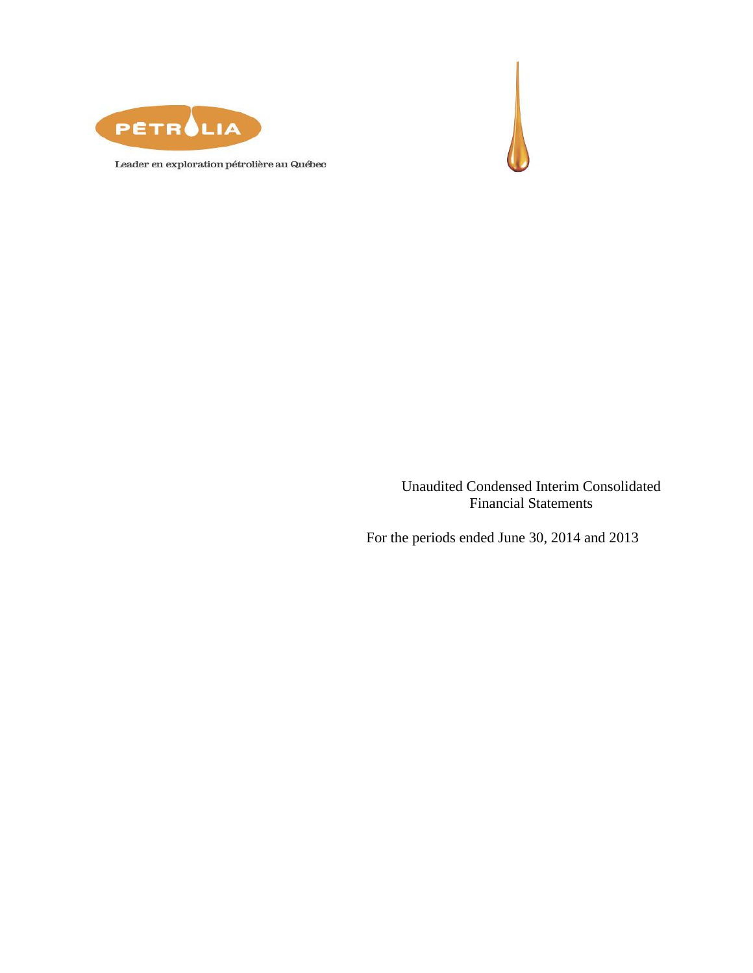



Leader en exploration pétrolière au Québec

Unaudited Condensed Interim Consolidated Financial Statements

For the periods ended June 30, 2014 and 2013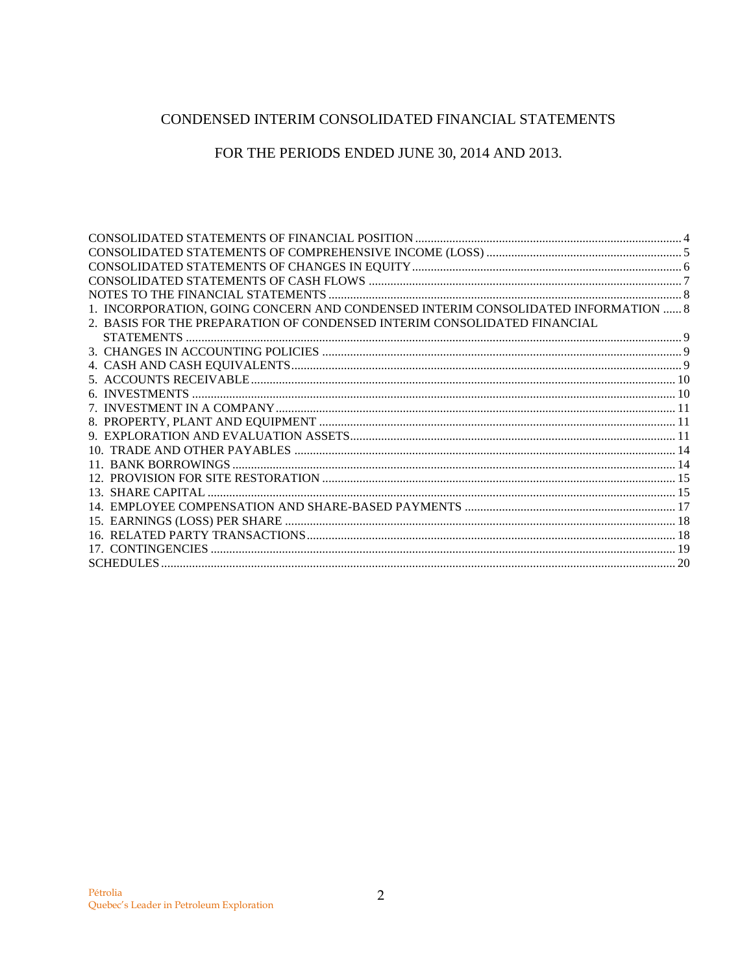# CONDENSED INTERIM CONSOLIDATED FINANCIAL STATEMENTS

FOR THE PERIODS ENDED JUNE 30, 2014 AND 2013.

| 1. INCORPORATION, GOING CONCERN AND CONDENSED INTERIM CONSOLIDATED INFORMATION  8 |  |
|-----------------------------------------------------------------------------------|--|
| 2. BASIS FOR THE PREPARATION OF CONDENSED INTERIM CONSOLIDATED FINANCIAL          |  |
|                                                                                   |  |
|                                                                                   |  |
|                                                                                   |  |
|                                                                                   |  |
|                                                                                   |  |
|                                                                                   |  |
|                                                                                   |  |
|                                                                                   |  |
|                                                                                   |  |
|                                                                                   |  |
|                                                                                   |  |
|                                                                                   |  |
|                                                                                   |  |
|                                                                                   |  |
|                                                                                   |  |
|                                                                                   |  |
|                                                                                   |  |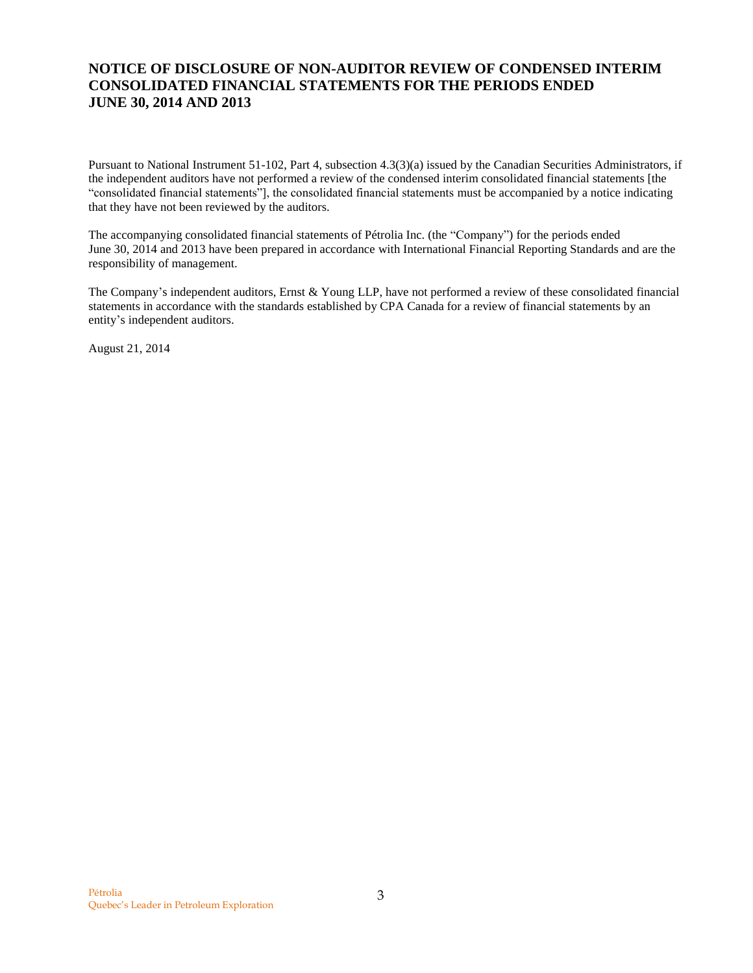# **NOTICE OF DISCLOSURE OF NON-AUDITOR REVIEW OF CONDENSED INTERIM CONSOLIDATED FINANCIAL STATEMENTS FOR THE PERIODS ENDED JUNE 30, 2014 AND 2013**

Pursuant to National Instrument 51-102, Part 4, subsection 4.3(3)(a) issued by the Canadian Securities Administrators, if the independent auditors have not performed a review of the condensed interim consolidated financial statements [the "consolidated financial statements"], the consolidated financial statements must be accompanied by a notice indicating that they have not been reviewed by the auditors.

The accompanying consolidated financial statements of Pétrolia Inc. (the "Company") for the periods ended June 30, 2014 and 2013 have been prepared in accordance with International Financial Reporting Standards and are the responsibility of management.

The Company's independent auditors, Ernst & Young LLP, have not performed a review of these consolidated financial statements in accordance with the standards established by CPA Canada for a review of financial statements by an entity's independent auditors.

August 21, 2014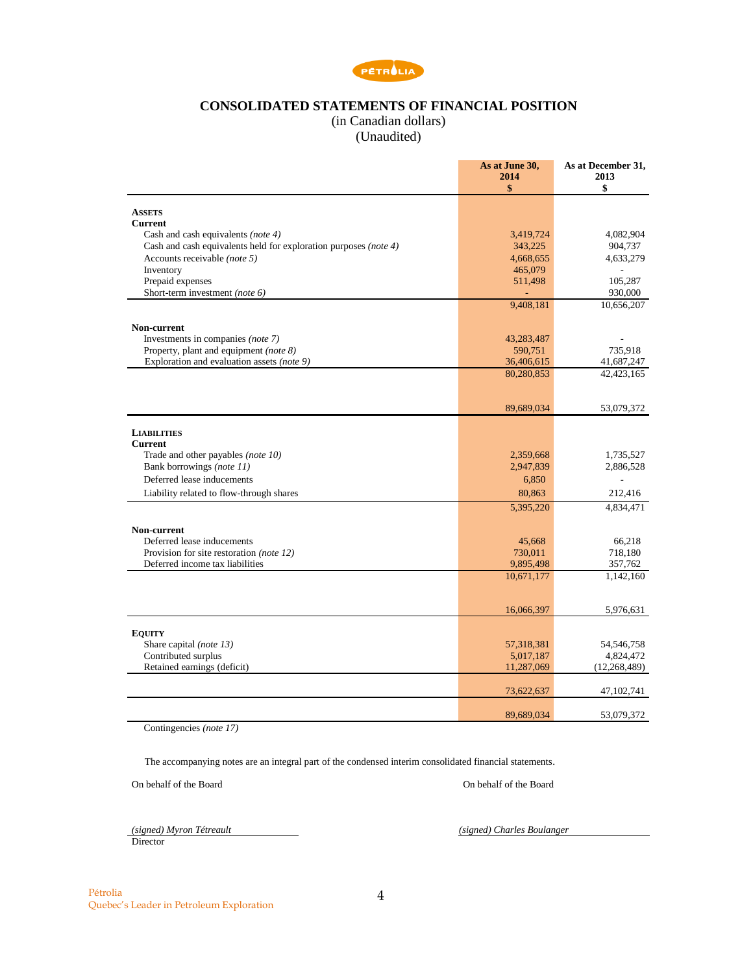

## **CONSOLIDATED STATEMENTS OF FINANCIAL POSITION**

(in Canadian dollars)

(Unaudited)

<span id="page-3-0"></span>

|                                                                  | As at June 30,<br>2014<br>\$ | As at December 31,<br>2013<br>\$ |
|------------------------------------------------------------------|------------------------------|----------------------------------|
| <b>ASSETS</b>                                                    |                              |                                  |
| <b>Current</b>                                                   |                              |                                  |
| Cash and cash equivalents (note 4)                               | 3,419,724                    | 4,082,904                        |
| Cash and cash equivalents held for exploration purposes (note 4) | 343,225                      | 904,737                          |
| Accounts receivable (note 5)                                     | 4,668,655                    | 4,633,279                        |
| Inventory                                                        | 465,079                      |                                  |
| Prepaid expenses<br>Short-term investment (note 6)               | 511,498                      | 105,287<br>930,000               |
|                                                                  | 9,408,181                    | 10,656,207                       |
|                                                                  |                              |                                  |
| Non-current<br>Investments in companies (note 7)                 | 43,283,487                   |                                  |
| Property, plant and equipment (note 8)                           | 590,751                      | 735,918                          |
| Exploration and evaluation assets (note 9)                       | 36,406,615                   | 41,687,247                       |
|                                                                  | 80,280,853                   | 42,423,165                       |
|                                                                  |                              |                                  |
|                                                                  | 89,689,034                   | 53,079,372                       |
| <b>LIABILITIES</b>                                               |                              |                                  |
| <b>Current</b>                                                   |                              |                                  |
| Trade and other payables (note 10)                               | 2,359,668                    | 1,735,527                        |
| Bank borrowings (note 11)                                        | 2,947,839                    | 2,886,528                        |
| Deferred lease inducements                                       | 6,850                        |                                  |
| Liability related to flow-through shares                         | 80,863                       | 212,416                          |
|                                                                  | 5,395,220                    | 4,834,471                        |
| Non-current                                                      |                              |                                  |
| Deferred lease inducements                                       | 45,668                       | 66,218                           |
| Provision for site restoration (note 12)                         | 730,011                      | 718,180                          |
| Deferred income tax liabilities                                  | 9,895,498                    | 357,762                          |
|                                                                  | 10,671,177                   | 1,142,160                        |
|                                                                  |                              |                                  |
|                                                                  | 16,066,397                   | 5,976,631                        |
| <b>EQUITY</b>                                                    |                              |                                  |
| Share capital (note 13)                                          | 57,318,381                   | 54,546,758                       |
| Contributed surplus                                              | 5,017,187                    | 4,824,472                        |
| Retained earnings (deficit)                                      | 11,287,069                   | (12, 268, 489)                   |
|                                                                  | 73,622,637                   | 47, 102, 741                     |
|                                                                  |                              |                                  |
|                                                                  | 89.689.034                   | 53,079,372                       |

Contingencies *(note 17)*

The accompanying notes are an integral part of the condensed interim consolidated financial statements.

On behalf of the Board On behalf of the Board

 $\frac{(signed) Myron T\acute{e}t} {\rm Director}$ 

*(signed)* Charles Boulanger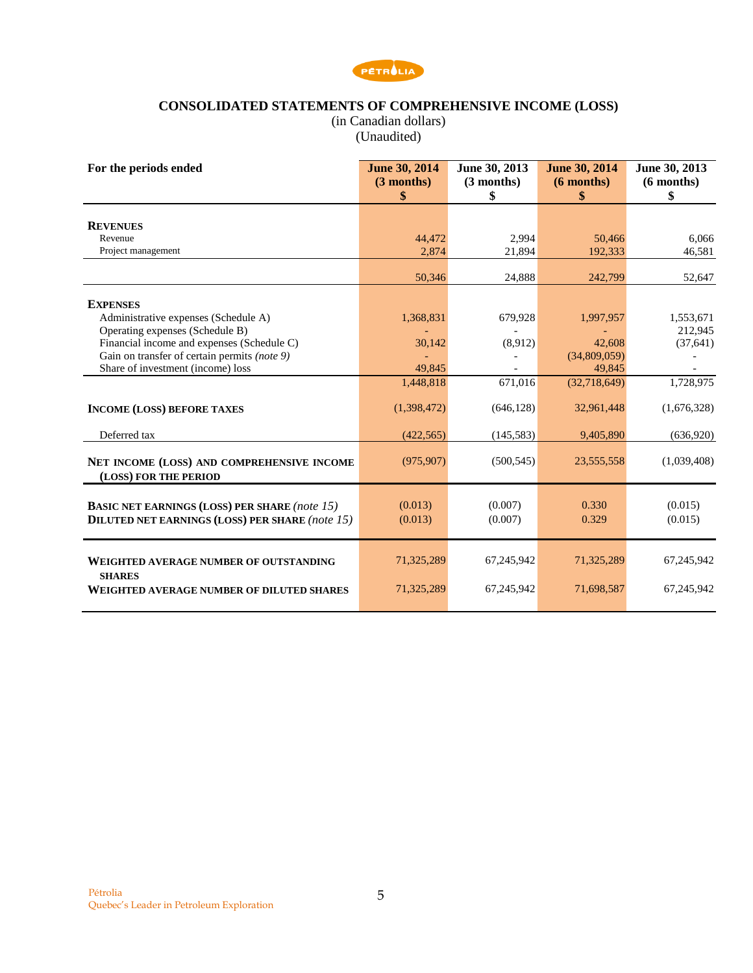

### **CONSOLIDATED STATEMENTS OF COMPREHENSIVE INCOME (LOSS)**

(in Canadian dollars) (Unaudited)

<span id="page-4-0"></span>

| For the periods ended                                  | <b>June 30, 2014</b> | June 30, 2013 | <b>June 30, 2014</b> | June 30, 2013 |
|--------------------------------------------------------|----------------------|---------------|----------------------|---------------|
|                                                        | $(3$ months)         | $(3$ months)  | $(6$ months)         | $(6$ months)  |
|                                                        | \$                   | \$            | \$                   | \$            |
|                                                        |                      |               |                      |               |
| <b>REVENUES</b>                                        |                      |               |                      |               |
| Revenue                                                | 44,472               | 2,994         | 50,466               | 6,066         |
| Project management                                     | 2,874                | 21,894        | 192,333              | 46,581        |
|                                                        |                      |               |                      |               |
|                                                        | 50,346               | 24,888        | 242,799              | 52,647        |
| <b>EXPENSES</b>                                        |                      |               |                      |               |
| Administrative expenses (Schedule A)                   | 1,368,831            | 679,928       | 1,997,957            | 1,553,671     |
| Operating expenses (Schedule B)                        |                      |               |                      | 212,945       |
| Financial income and expenses (Schedule C)             | 30,142               | (8,912)       | 42,608               | (37, 641)     |
| Gain on transfer of certain permits (note 9)           |                      |               | (34,809,059)         |               |
| Share of investment (income) loss                      | 49,845               |               | 49,845               |               |
|                                                        | 1,448,818            | 671,016       | (32,718,649)         | 1,728,975     |
|                                                        |                      |               |                      |               |
| <b>INCOME (LOSS) BEFORE TAXES</b>                      | (1,398,472)          | (646, 128)    | 32,961,448           | (1,676,328)   |
| Deferred tax                                           | (422, 565)           | (145, 583)    | 9,405,890            | (636,920)     |
|                                                        |                      |               |                      |               |
| NET INCOME (LOSS) AND COMPREHENSIVE INCOME             | (975, 907)           | (500, 545)    | 23,555,558           | (1,039,408)   |
| (LOSS) FOR THE PERIOD                                  |                      |               |                      |               |
|                                                        |                      |               |                      |               |
| <b>BASIC NET EARNINGS (LOSS) PER SHARE (note 15)</b>   | (0.013)              | (0.007)       | 0.330                | (0.015)       |
| <b>DILUTED NET EARNINGS (LOSS) PER SHARE (note 15)</b> | (0.013)              | (0.007)       | 0.329                | (0.015)       |
|                                                        |                      |               |                      |               |
|                                                        |                      |               |                      |               |
| <b>WEIGHTED AVERAGE NUMBER OF OUTSTANDING</b>          | 71,325,289           | 67,245,942    | 71,325,289           | 67,245,942    |
| <b>SHARES</b>                                          |                      |               |                      |               |
| <b>WEIGHTED AVERAGE NUMBER OF DILUTED SHARES</b>       | 71,325,289           | 67,245,942    | 71,698,587           | 67,245,942    |
|                                                        |                      |               |                      |               |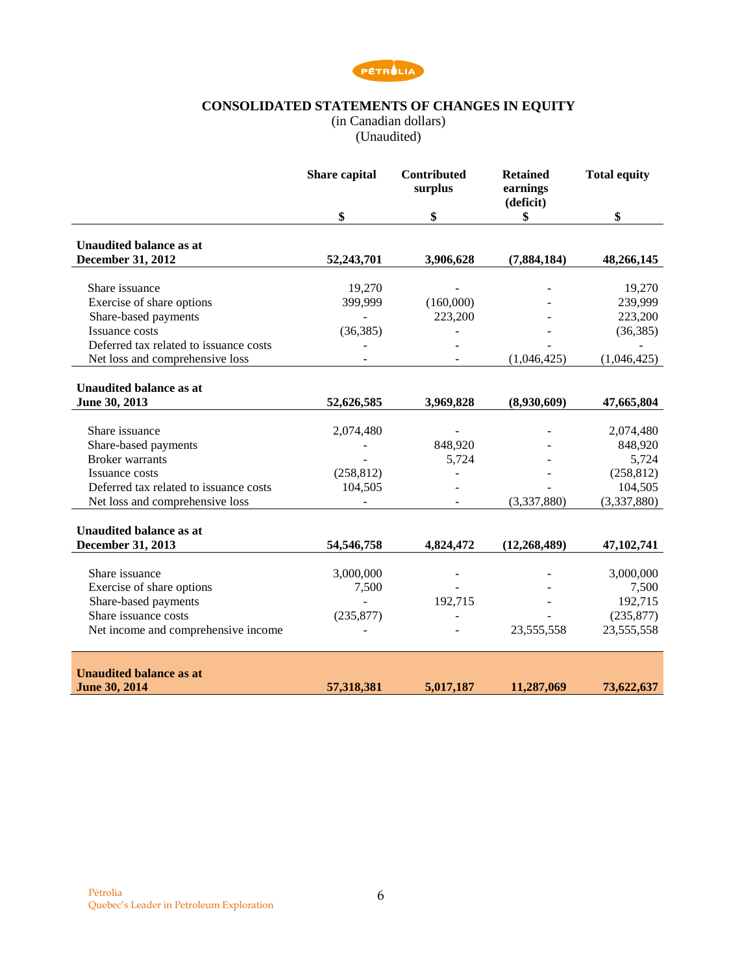

### **CONSOLIDATED STATEMENTS OF CHANGES IN EQUITY**

(in Canadian dollars)

(Unaudited)

<span id="page-5-0"></span>

|                                        | <b>Share capital</b> | <b>Contributed</b><br>surplus | <b>Retained</b><br>earnings<br>(deficit) | <b>Total equity</b> |
|----------------------------------------|----------------------|-------------------------------|------------------------------------------|---------------------|
|                                        | \$                   | \$                            | \$                                       | \$                  |
| <b>Unaudited balance as at</b>         |                      |                               |                                          |                     |
| <b>December 31, 2012</b>               | 52,243,701           | 3,906,628                     | (7,884,184)                              | 48,266,145          |
| Share issuance                         | 19,270               |                               |                                          | 19,270              |
| Exercise of share options              | 399,999              | (160,000)                     |                                          | 239,999             |
| Share-based payments                   | $\blacksquare$       | 223,200                       |                                          | 223,200             |
| <b>Issuance costs</b>                  | (36, 385)            |                               |                                          | (36, 385)           |
| Deferred tax related to issuance costs |                      |                               |                                          |                     |
| Net loss and comprehensive loss        |                      |                               | (1,046,425)                              | (1,046,425)         |
|                                        |                      |                               |                                          |                     |
| <b>Unaudited balance as at</b>         |                      |                               |                                          |                     |
| June 30, 2013                          | 52,626,585           | 3,969,828                     | (8,930,609)                              | 47,665,804          |
|                                        |                      |                               |                                          |                     |
| Share issuance                         | 2,074,480            |                               |                                          | 2,074,480           |
| Share-based payments                   |                      | 848,920                       |                                          | 848,920             |
| <b>Broker</b> warrants                 |                      | 5,724                         |                                          | 5,724               |
| Issuance costs                         | (258, 812)           |                               |                                          | (258, 812)          |
| Deferred tax related to issuance costs | 104,505              |                               |                                          | 104,505             |
| Net loss and comprehensive loss        |                      |                               | (3,337,880)                              | (3,337,880)         |
|                                        |                      |                               |                                          |                     |
| <b>Unaudited balance as at</b>         |                      |                               |                                          |                     |
| December 31, 2013                      | 54, 546, 758         | 4,824,472                     | (12, 268, 489)                           | 47, 102, 741        |
| Share issuance                         | 3,000,000            |                               |                                          | 3,000,000           |
| Exercise of share options              | 7,500                |                               |                                          | 7,500               |
| Share-based payments                   |                      | 192,715                       |                                          | 192,715             |
| Share issuance costs                   | (235, 877)           |                               |                                          | (235, 877)          |
| Net income and comprehensive income    |                      |                               | 23,555,558                               | 23,555,558          |
|                                        |                      |                               |                                          |                     |
|                                        |                      |                               |                                          |                     |
| <b>Unaudited balance as at</b>         |                      |                               |                                          |                     |
| June 30, 2014                          | 57,318,381           | 5,017,187                     | 11,287,069                               | 73,622,637          |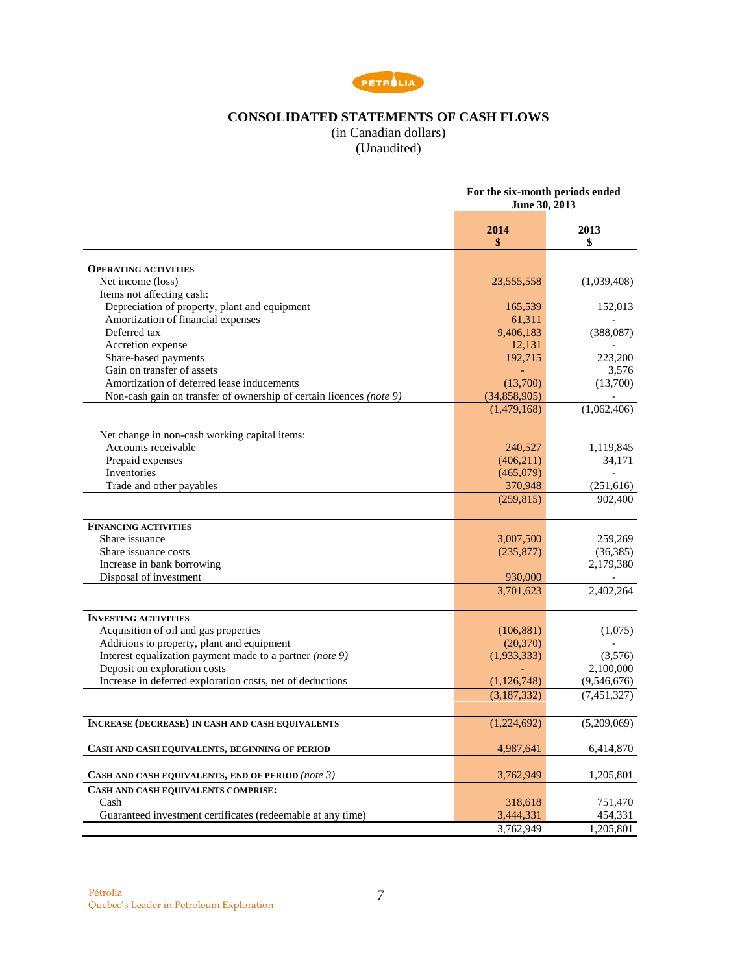

# **CONSOLIDATED STATEMENTS OF CASH FLOWS**

(in Canadian dollars) (Unaudited)

<span id="page-6-0"></span>

| 2014<br>2013<br>\$<br>\$<br><b>OPERATING ACTIVITIES</b><br>(1,039,408)<br>Net income (loss)<br>23, 555, 558<br>Items not affecting cash:<br>Depreciation of property, plant and equipment<br>165,539<br>152,013<br>Amortization of financial expenses<br>61,311<br>Deferred tax<br>9,406,183<br>(388,087)<br>Accretion expense<br>12,131<br>Share-based payments<br>192,715<br>223,200<br>Gain on transfer of assets<br>3,576<br>Amortization of deferred lease inducements<br>(13,700)<br>(13,700)<br>Non-cash gain on transfer of ownership of certain licences (note 9)<br>(34,858,905)<br>(1,479,168)<br>(1,062,406)<br>Net change in non-cash working capital items:<br>Accounts receivable<br>240,527<br>1,119,845<br>Prepaid expenses<br>(406, 211)<br>34,171<br>Inventories<br>(465,079)<br>Trade and other payables<br>370,948<br>(251, 616)<br>902,400<br>(259, 815)<br><b>FINANCING ACTIVITIES</b><br>Share issuance<br>3,007,500<br>259,269<br>(36, 385)<br>Share issuance costs<br>(235, 877)<br>Increase in bank borrowing<br>2,179,380<br>Disposal of investment<br>930,000<br>3,701,623<br>2,402,264<br><b>INVESTING ACTIVITIES</b><br>Acquisition of oil and gas properties<br>(106, 881)<br>(1,075)<br>Additions to property, plant and equipment<br>(20, 370)<br>Interest equalization payment made to a partner (note 9)<br>(1,933,333)<br>(3,576)<br>Deposit on exploration costs<br>2,100,000<br>Increase in deferred exploration costs, net of deductions<br>(1, 126, 748)<br>(9,546,676)<br>(3,187,332)<br>(7,451,327)<br>(5,209,069)<br>(1,224,692)<br><b>INCREASE (DECREASE) IN CASH AND CASH EQUIVALENTS</b><br>4,987,641<br>6,414,870<br>CASH AND CASH EQUIVALENTS, BEGINNING OF PERIOD<br>CASH AND CASH EQUIVALENTS, END OF PERIOD (note 3)<br>3,762,949<br>1,205,801<br>CASH AND CASH EQUIVALENTS COMPRISE:<br>Cash<br>318,618<br>751,470<br>Guaranteed investment certificates (redeemable at any time)<br>3,444,331<br>454,331<br>3,762,949<br>1,205,801 | For the six-month periods ended<br>June 30, 2013 |  |
|------------------------------------------------------------------------------------------------------------------------------------------------------------------------------------------------------------------------------------------------------------------------------------------------------------------------------------------------------------------------------------------------------------------------------------------------------------------------------------------------------------------------------------------------------------------------------------------------------------------------------------------------------------------------------------------------------------------------------------------------------------------------------------------------------------------------------------------------------------------------------------------------------------------------------------------------------------------------------------------------------------------------------------------------------------------------------------------------------------------------------------------------------------------------------------------------------------------------------------------------------------------------------------------------------------------------------------------------------------------------------------------------------------------------------------------------------------------------------------------------------------------------------------------------------------------------------------------------------------------------------------------------------------------------------------------------------------------------------------------------------------------------------------------------------------------------------------------------------------------------------------------------------------------------------------------------------------------------------------------|--------------------------------------------------|--|
|                                                                                                                                                                                                                                                                                                                                                                                                                                                                                                                                                                                                                                                                                                                                                                                                                                                                                                                                                                                                                                                                                                                                                                                                                                                                                                                                                                                                                                                                                                                                                                                                                                                                                                                                                                                                                                                                                                                                                                                          |                                                  |  |
|                                                                                                                                                                                                                                                                                                                                                                                                                                                                                                                                                                                                                                                                                                                                                                                                                                                                                                                                                                                                                                                                                                                                                                                                                                                                                                                                                                                                                                                                                                                                                                                                                                                                                                                                                                                                                                                                                                                                                                                          |                                                  |  |
|                                                                                                                                                                                                                                                                                                                                                                                                                                                                                                                                                                                                                                                                                                                                                                                                                                                                                                                                                                                                                                                                                                                                                                                                                                                                                                                                                                                                                                                                                                                                                                                                                                                                                                                                                                                                                                                                                                                                                                                          |                                                  |  |
|                                                                                                                                                                                                                                                                                                                                                                                                                                                                                                                                                                                                                                                                                                                                                                                                                                                                                                                                                                                                                                                                                                                                                                                                                                                                                                                                                                                                                                                                                                                                                                                                                                                                                                                                                                                                                                                                                                                                                                                          |                                                  |  |
|                                                                                                                                                                                                                                                                                                                                                                                                                                                                                                                                                                                                                                                                                                                                                                                                                                                                                                                                                                                                                                                                                                                                                                                                                                                                                                                                                                                                                                                                                                                                                                                                                                                                                                                                                                                                                                                                                                                                                                                          |                                                  |  |
|                                                                                                                                                                                                                                                                                                                                                                                                                                                                                                                                                                                                                                                                                                                                                                                                                                                                                                                                                                                                                                                                                                                                                                                                                                                                                                                                                                                                                                                                                                                                                                                                                                                                                                                                                                                                                                                                                                                                                                                          |                                                  |  |
|                                                                                                                                                                                                                                                                                                                                                                                                                                                                                                                                                                                                                                                                                                                                                                                                                                                                                                                                                                                                                                                                                                                                                                                                                                                                                                                                                                                                                                                                                                                                                                                                                                                                                                                                                                                                                                                                                                                                                                                          |                                                  |  |
|                                                                                                                                                                                                                                                                                                                                                                                                                                                                                                                                                                                                                                                                                                                                                                                                                                                                                                                                                                                                                                                                                                                                                                                                                                                                                                                                                                                                                                                                                                                                                                                                                                                                                                                                                                                                                                                                                                                                                                                          |                                                  |  |
|                                                                                                                                                                                                                                                                                                                                                                                                                                                                                                                                                                                                                                                                                                                                                                                                                                                                                                                                                                                                                                                                                                                                                                                                                                                                                                                                                                                                                                                                                                                                                                                                                                                                                                                                                                                                                                                                                                                                                                                          |                                                  |  |
|                                                                                                                                                                                                                                                                                                                                                                                                                                                                                                                                                                                                                                                                                                                                                                                                                                                                                                                                                                                                                                                                                                                                                                                                                                                                                                                                                                                                                                                                                                                                                                                                                                                                                                                                                                                                                                                                                                                                                                                          |                                                  |  |
|                                                                                                                                                                                                                                                                                                                                                                                                                                                                                                                                                                                                                                                                                                                                                                                                                                                                                                                                                                                                                                                                                                                                                                                                                                                                                                                                                                                                                                                                                                                                                                                                                                                                                                                                                                                                                                                                                                                                                                                          |                                                  |  |
|                                                                                                                                                                                                                                                                                                                                                                                                                                                                                                                                                                                                                                                                                                                                                                                                                                                                                                                                                                                                                                                                                                                                                                                                                                                                                                                                                                                                                                                                                                                                                                                                                                                                                                                                                                                                                                                                                                                                                                                          |                                                  |  |
|                                                                                                                                                                                                                                                                                                                                                                                                                                                                                                                                                                                                                                                                                                                                                                                                                                                                                                                                                                                                                                                                                                                                                                                                                                                                                                                                                                                                                                                                                                                                                                                                                                                                                                                                                                                                                                                                                                                                                                                          |                                                  |  |
|                                                                                                                                                                                                                                                                                                                                                                                                                                                                                                                                                                                                                                                                                                                                                                                                                                                                                                                                                                                                                                                                                                                                                                                                                                                                                                                                                                                                                                                                                                                                                                                                                                                                                                                                                                                                                                                                                                                                                                                          |                                                  |  |
|                                                                                                                                                                                                                                                                                                                                                                                                                                                                                                                                                                                                                                                                                                                                                                                                                                                                                                                                                                                                                                                                                                                                                                                                                                                                                                                                                                                                                                                                                                                                                                                                                                                                                                                                                                                                                                                                                                                                                                                          |                                                  |  |
|                                                                                                                                                                                                                                                                                                                                                                                                                                                                                                                                                                                                                                                                                                                                                                                                                                                                                                                                                                                                                                                                                                                                                                                                                                                                                                                                                                                                                                                                                                                                                                                                                                                                                                                                                                                                                                                                                                                                                                                          |                                                  |  |
|                                                                                                                                                                                                                                                                                                                                                                                                                                                                                                                                                                                                                                                                                                                                                                                                                                                                                                                                                                                                                                                                                                                                                                                                                                                                                                                                                                                                                                                                                                                                                                                                                                                                                                                                                                                                                                                                                                                                                                                          |                                                  |  |
|                                                                                                                                                                                                                                                                                                                                                                                                                                                                                                                                                                                                                                                                                                                                                                                                                                                                                                                                                                                                                                                                                                                                                                                                                                                                                                                                                                                                                                                                                                                                                                                                                                                                                                                                                                                                                                                                                                                                                                                          |                                                  |  |
|                                                                                                                                                                                                                                                                                                                                                                                                                                                                                                                                                                                                                                                                                                                                                                                                                                                                                                                                                                                                                                                                                                                                                                                                                                                                                                                                                                                                                                                                                                                                                                                                                                                                                                                                                                                                                                                                                                                                                                                          |                                                  |  |
|                                                                                                                                                                                                                                                                                                                                                                                                                                                                                                                                                                                                                                                                                                                                                                                                                                                                                                                                                                                                                                                                                                                                                                                                                                                                                                                                                                                                                                                                                                                                                                                                                                                                                                                                                                                                                                                                                                                                                                                          |                                                  |  |
|                                                                                                                                                                                                                                                                                                                                                                                                                                                                                                                                                                                                                                                                                                                                                                                                                                                                                                                                                                                                                                                                                                                                                                                                                                                                                                                                                                                                                                                                                                                                                                                                                                                                                                                                                                                                                                                                                                                                                                                          |                                                  |  |
|                                                                                                                                                                                                                                                                                                                                                                                                                                                                                                                                                                                                                                                                                                                                                                                                                                                                                                                                                                                                                                                                                                                                                                                                                                                                                                                                                                                                                                                                                                                                                                                                                                                                                                                                                                                                                                                                                                                                                                                          |                                                  |  |
|                                                                                                                                                                                                                                                                                                                                                                                                                                                                                                                                                                                                                                                                                                                                                                                                                                                                                                                                                                                                                                                                                                                                                                                                                                                                                                                                                                                                                                                                                                                                                                                                                                                                                                                                                                                                                                                                                                                                                                                          |                                                  |  |
|                                                                                                                                                                                                                                                                                                                                                                                                                                                                                                                                                                                                                                                                                                                                                                                                                                                                                                                                                                                                                                                                                                                                                                                                                                                                                                                                                                                                                                                                                                                                                                                                                                                                                                                                                                                                                                                                                                                                                                                          |                                                  |  |
|                                                                                                                                                                                                                                                                                                                                                                                                                                                                                                                                                                                                                                                                                                                                                                                                                                                                                                                                                                                                                                                                                                                                                                                                                                                                                                                                                                                                                                                                                                                                                                                                                                                                                                                                                                                                                                                                                                                                                                                          |                                                  |  |
|                                                                                                                                                                                                                                                                                                                                                                                                                                                                                                                                                                                                                                                                                                                                                                                                                                                                                                                                                                                                                                                                                                                                                                                                                                                                                                                                                                                                                                                                                                                                                                                                                                                                                                                                                                                                                                                                                                                                                                                          |                                                  |  |
|                                                                                                                                                                                                                                                                                                                                                                                                                                                                                                                                                                                                                                                                                                                                                                                                                                                                                                                                                                                                                                                                                                                                                                                                                                                                                                                                                                                                                                                                                                                                                                                                                                                                                                                                                                                                                                                                                                                                                                                          |                                                  |  |
|                                                                                                                                                                                                                                                                                                                                                                                                                                                                                                                                                                                                                                                                                                                                                                                                                                                                                                                                                                                                                                                                                                                                                                                                                                                                                                                                                                                                                                                                                                                                                                                                                                                                                                                                                                                                                                                                                                                                                                                          |                                                  |  |
|                                                                                                                                                                                                                                                                                                                                                                                                                                                                                                                                                                                                                                                                                                                                                                                                                                                                                                                                                                                                                                                                                                                                                                                                                                                                                                                                                                                                                                                                                                                                                                                                                                                                                                                                                                                                                                                                                                                                                                                          |                                                  |  |
|                                                                                                                                                                                                                                                                                                                                                                                                                                                                                                                                                                                                                                                                                                                                                                                                                                                                                                                                                                                                                                                                                                                                                                                                                                                                                                                                                                                                                                                                                                                                                                                                                                                                                                                                                                                                                                                                                                                                                                                          |                                                  |  |
|                                                                                                                                                                                                                                                                                                                                                                                                                                                                                                                                                                                                                                                                                                                                                                                                                                                                                                                                                                                                                                                                                                                                                                                                                                                                                                                                                                                                                                                                                                                                                                                                                                                                                                                                                                                                                                                                                                                                                                                          |                                                  |  |
|                                                                                                                                                                                                                                                                                                                                                                                                                                                                                                                                                                                                                                                                                                                                                                                                                                                                                                                                                                                                                                                                                                                                                                                                                                                                                                                                                                                                                                                                                                                                                                                                                                                                                                                                                                                                                                                                                                                                                                                          |                                                  |  |
|                                                                                                                                                                                                                                                                                                                                                                                                                                                                                                                                                                                                                                                                                                                                                                                                                                                                                                                                                                                                                                                                                                                                                                                                                                                                                                                                                                                                                                                                                                                                                                                                                                                                                                                                                                                                                                                                                                                                                                                          |                                                  |  |
|                                                                                                                                                                                                                                                                                                                                                                                                                                                                                                                                                                                                                                                                                                                                                                                                                                                                                                                                                                                                                                                                                                                                                                                                                                                                                                                                                                                                                                                                                                                                                                                                                                                                                                                                                                                                                                                                                                                                                                                          |                                                  |  |
|                                                                                                                                                                                                                                                                                                                                                                                                                                                                                                                                                                                                                                                                                                                                                                                                                                                                                                                                                                                                                                                                                                                                                                                                                                                                                                                                                                                                                                                                                                                                                                                                                                                                                                                                                                                                                                                                                                                                                                                          |                                                  |  |
|                                                                                                                                                                                                                                                                                                                                                                                                                                                                                                                                                                                                                                                                                                                                                                                                                                                                                                                                                                                                                                                                                                                                                                                                                                                                                                                                                                                                                                                                                                                                                                                                                                                                                                                                                                                                                                                                                                                                                                                          |                                                  |  |
|                                                                                                                                                                                                                                                                                                                                                                                                                                                                                                                                                                                                                                                                                                                                                                                                                                                                                                                                                                                                                                                                                                                                                                                                                                                                                                                                                                                                                                                                                                                                                                                                                                                                                                                                                                                                                                                                                                                                                                                          |                                                  |  |
|                                                                                                                                                                                                                                                                                                                                                                                                                                                                                                                                                                                                                                                                                                                                                                                                                                                                                                                                                                                                                                                                                                                                                                                                                                                                                                                                                                                                                                                                                                                                                                                                                                                                                                                                                                                                                                                                                                                                                                                          |                                                  |  |
|                                                                                                                                                                                                                                                                                                                                                                                                                                                                                                                                                                                                                                                                                                                                                                                                                                                                                                                                                                                                                                                                                                                                                                                                                                                                                                                                                                                                                                                                                                                                                                                                                                                                                                                                                                                                                                                                                                                                                                                          |                                                  |  |
|                                                                                                                                                                                                                                                                                                                                                                                                                                                                                                                                                                                                                                                                                                                                                                                                                                                                                                                                                                                                                                                                                                                                                                                                                                                                                                                                                                                                                                                                                                                                                                                                                                                                                                                                                                                                                                                                                                                                                                                          |                                                  |  |
|                                                                                                                                                                                                                                                                                                                                                                                                                                                                                                                                                                                                                                                                                                                                                                                                                                                                                                                                                                                                                                                                                                                                                                                                                                                                                                                                                                                                                                                                                                                                                                                                                                                                                                                                                                                                                                                                                                                                                                                          |                                                  |  |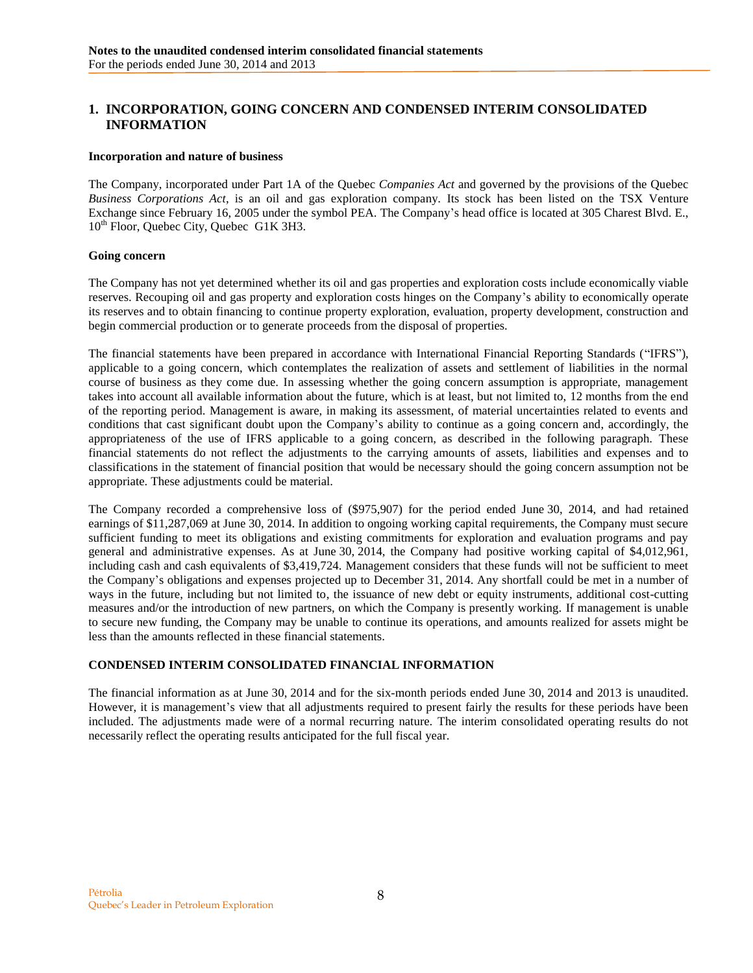## <span id="page-7-1"></span><span id="page-7-0"></span>**1. INCORPORATION, GOING CONCERN AND CONDENSED INTERIM CONSOLIDATED INFORMATION**

#### **Incorporation and nature of business**

The Company, incorporated under Part 1A of the Quebec *Companies Act* and governed by the provisions of the Quebec *Business Corporations Act*, is an oil and gas exploration company. Its stock has been listed on the TSX Venture Exchange since February 16, 2005 under the symbol PEA. The Company's head office is located at 305 Charest Blvd. E., 10<sup>th</sup> Floor, Quebec City, Quebec G1K 3H3.

#### **Going concern**

The Company has not yet determined whether its oil and gas properties and exploration costs include economically viable reserves. Recouping oil and gas property and exploration costs hinges on the Company's ability to economically operate its reserves and to obtain financing to continue property exploration, evaluation, property development, construction and begin commercial production or to generate proceeds from the disposal of properties.

The financial statements have been prepared in accordance with International Financial Reporting Standards ("IFRS"), applicable to a going concern, which contemplates the realization of assets and settlement of liabilities in the normal course of business as they come due. In assessing whether the going concern assumption is appropriate, management takes into account all available information about the future, which is at least, but not limited to, 12 months from the end of the reporting period. Management is aware, in making its assessment, of material uncertainties related to events and conditions that cast significant doubt upon the Company's ability to continue as a going concern and, accordingly, the appropriateness of the use of IFRS applicable to a going concern, as described in the following paragraph. These financial statements do not reflect the adjustments to the carrying amounts of assets, liabilities and expenses and to classifications in the statement of financial position that would be necessary should the going concern assumption not be appropriate. These adjustments could be material.

The Company recorded a comprehensive loss of (\$975,907) for the period ended June 30, 2014, and had retained earnings of \$11,287,069 at June 30, 2014. In addition to ongoing working capital requirements, the Company must secure sufficient funding to meet its obligations and existing commitments for exploration and evaluation programs and pay general and administrative expenses. As at June 30, 2014, the Company had positive working capital of \$4,012,961, including cash and cash equivalents of \$3,419,724. Management considers that these funds will not be sufficient to meet the Company's obligations and expenses projected up to December 31, 2014. Any shortfall could be met in a number of ways in the future, including but not limited to, the issuance of new debt or equity instruments, additional cost-cutting measures and/or the introduction of new partners, on which the Company is presently working. If management is unable to secure new funding, the Company may be unable to continue its operations, and amounts realized for assets might be less than the amounts reflected in these financial statements.

### **CONDENSED INTERIM CONSOLIDATED FINANCIAL INFORMATION**

<span id="page-7-2"></span>The financial information as at June 30, 2014 and for the six-month periods ended June 30, 2014 and 2013 is unaudited. However, it is management's view that all adjustments required to present fairly the results for these periods have been included. The adjustments made were of a normal recurring nature. The interim consolidated operating results do not necessarily reflect the operating results anticipated for the full fiscal year.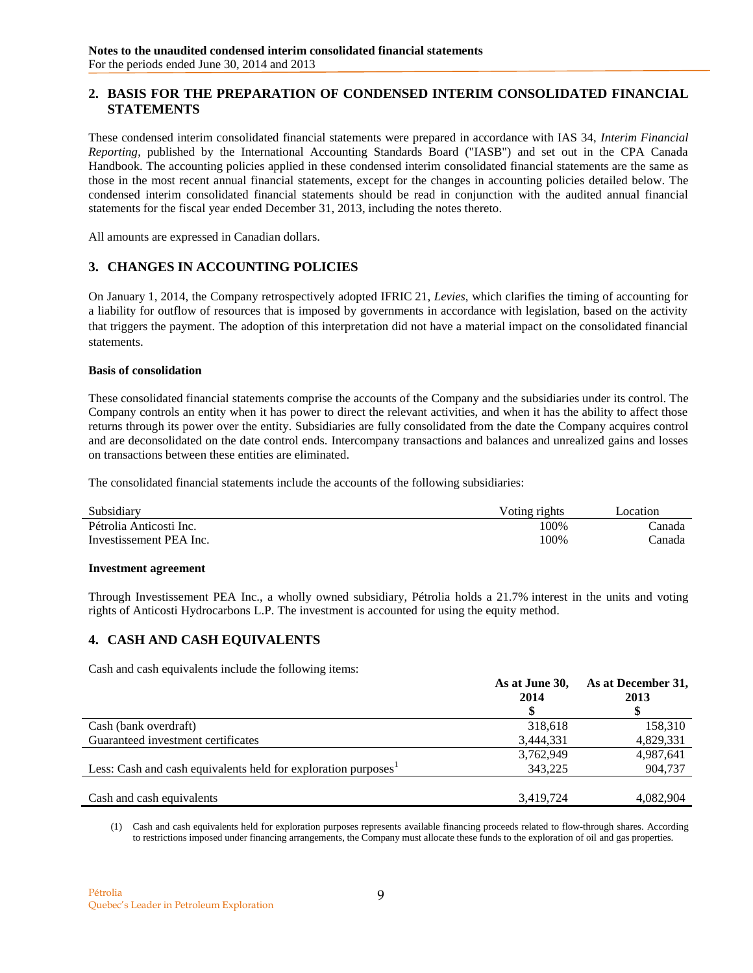## **2. BASIS FOR THE PREPARATION OF CONDENSED INTERIM CONSOLIDATED FINANCIAL STATEMENTS**

These condensed interim consolidated financial statements were prepared in accordance with IAS 34, *Interim Financial Reporting*, published by the International Accounting Standards Board ("IASB") and set out in the CPA Canada Handbook. The accounting policies applied in these condensed interim consolidated financial statements are the same as those in the most recent annual financial statements, except for the changes in accounting policies detailed below. The condensed interim consolidated financial statements should be read in conjunction with the audited annual financial statements for the fiscal year ended December 31, 2013, including the notes thereto.

All amounts are expressed in Canadian dollars.

## <span id="page-8-0"></span>**3. CHANGES IN ACCOUNTING POLICIES**

On January 1, 2014, the Company retrospectively adopted IFRIC 21, *Levies*, which clarifies the timing of accounting for a liability for outflow of resources that is imposed by governments in accordance with legislation, based on the activity that triggers the payment. The adoption of this interpretation did not have a material impact on the consolidated financial statements.

#### **Basis of consolidation**

These consolidated financial statements comprise the accounts of the Company and the subsidiaries under its control. The Company controls an entity when it has power to direct the relevant activities, and when it has the ability to affect those returns through its power over the entity. Subsidiaries are fully consolidated from the date the Company acquires control and are deconsolidated on the date control ends. Intercompany transactions and balances and unrealized gains and losses on transactions between these entities are eliminated.

The consolidated financial statements include the accounts of the following subsidiaries:

| Subsidiary              | Voting rights | ocation |
|-------------------------|---------------|---------|
| Pétrolia Anticosti Inc. | 100%          | `anada  |
| Investissement PEA Inc. | 100%          | `anada  |

#### **Investment agreement**

Through Investissement PEA Inc., a wholly owned subsidiary, Pétrolia holds a 21.7% interest in the units and voting rights of Anticosti Hydrocarbons L.P. The investment is accounted for using the equity method.

# <span id="page-8-1"></span>**4. CASH AND CASH EQUIVALENTS**

Cash and cash equivalents include the following items:

|                                                               | As at June 30,<br>2014 | As at December 31,<br>2013 |
|---------------------------------------------------------------|------------------------|----------------------------|
|                                                               |                        |                            |
| Cash (bank overdraft)                                         | 318.618                | 158,310                    |
| Guaranteed investment certificates                            | 3,444,331              | 4,829,331                  |
|                                                               | 3,762,949              | 4,987,641                  |
| Less: Cash and cash equivalents held for exploration purposes | 343.225                | 904,737                    |
|                                                               |                        |                            |
| Cash and cash equivalents                                     | 3.419.724              | 4,082,904                  |

(1) Cash and cash equivalents held for exploration purposes represents available financing proceeds related to flow-through shares. According to restrictions imposed under financing arrangements, the Company must allocate these funds to the exploration of oil and gas properties.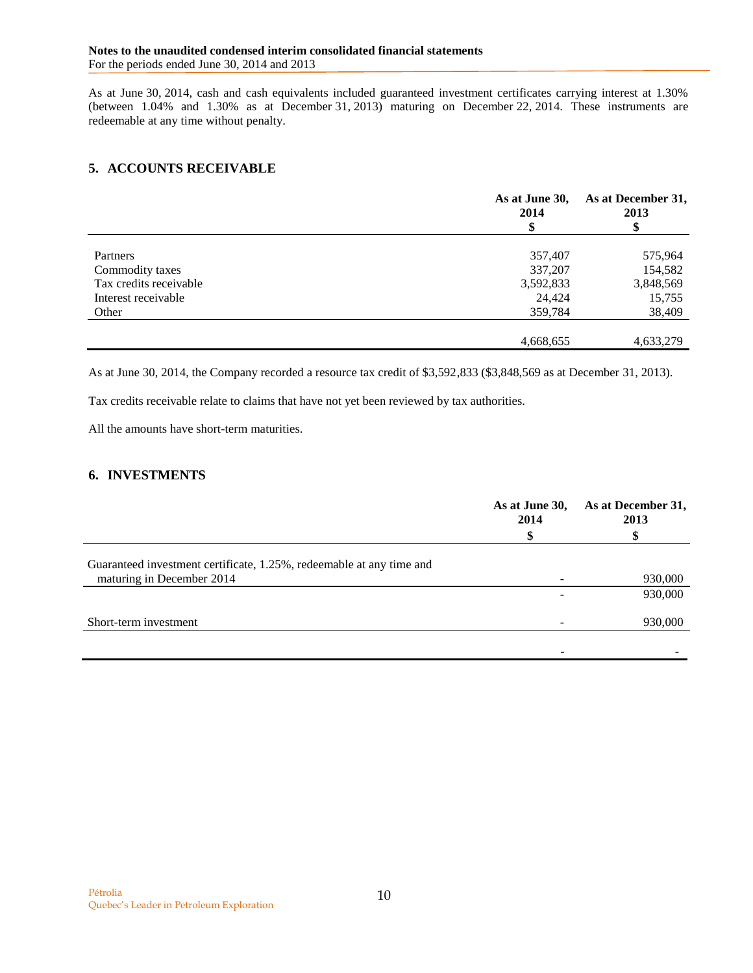As at June 30, 2014, cash and cash equivalents included guaranteed investment certificates carrying interest at 1.30% (between 1.04% and 1.30% as at December 31, 2013) maturing on December 22, 2014. These instruments are redeemable at any time without penalty.

# <span id="page-9-0"></span>**5. ACCOUNTS RECEIVABLE**

|                        | As at June 30,<br>2014 | As at December 31,<br>2013 |  |
|------------------------|------------------------|----------------------------|--|
|                        |                        | \$                         |  |
| Partners               | 357,407                | 575,964                    |  |
| Commodity taxes        | 337,207                | 154,582                    |  |
| Tax credits receivable | 3,592,833              | 3,848,569                  |  |
| Interest receivable    | 24,424                 | 15,755                     |  |
| Other                  | 359,784                | 38,409                     |  |
|                        |                        |                            |  |
|                        | 4,668,655              | 4,633,279                  |  |

As at June 30, 2014, the Company recorded a resource tax credit of \$3,592,833 (\$3,848,569 as at December 31, 2013).

Tax credits receivable relate to claims that have not yet been reviewed by tax authorities.

All the amounts have short-term maturities.

## <span id="page-9-1"></span>**6. INVESTMENTS**

|                                                                      | As at June 30,<br>2014 | As at December 31,<br>2013 |  |
|----------------------------------------------------------------------|------------------------|----------------------------|--|
|                                                                      |                        |                            |  |
| Guaranteed investment certificate, 1.25%, redeemable at any time and |                        |                            |  |
| maturing in December 2014                                            |                        | 930,000                    |  |
|                                                                      |                        | 930,000                    |  |
| Short-term investment                                                |                        | 930,000                    |  |
|                                                                      |                        |                            |  |
|                                                                      |                        |                            |  |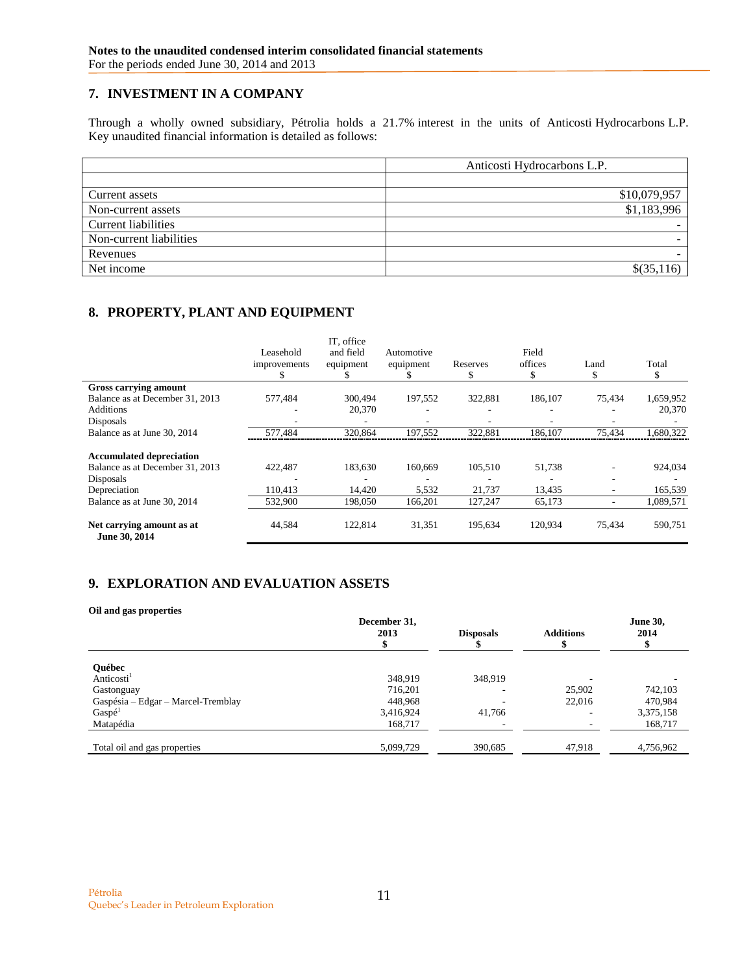# <span id="page-10-0"></span>**7. INVESTMENT IN A COMPANY**

Through a wholly owned subsidiary, Pétrolia holds a 21.7% interest in the units of Anticosti Hydrocarbons L.P. Key unaudited financial information is detailed as follows:

|                            | Anticosti Hydrocarbons L.P. |
|----------------------------|-----------------------------|
|                            |                             |
| Current assets             | \$10,079,957                |
| Non-current assets         | \$1,183,996                 |
| <b>Current liabilities</b> |                             |
| Non-current liabilities    |                             |
| Revenues                   |                             |
| Net income                 | $$$ (35,1                   |

# <span id="page-10-1"></span>**8. PROPERTY, PLANT AND EQUIPMENT**

|                                            | Leasehold<br>improvements<br>У. | IT. office<br>and field<br>equipment | Automotive<br>equipment | Reserves<br>S | Field<br>offices<br>S | Land   | Total<br>Jэ. |
|--------------------------------------------|---------------------------------|--------------------------------------|-------------------------|---------------|-----------------------|--------|--------------|
| Gross carrying amount                      |                                 |                                      |                         |               |                       |        |              |
| Balance as at December 31, 2013            | 577,484                         | 300.494                              | 197,552                 | 322.881       | 186,107               | 75,434 | 1,659,952    |
| <b>Additions</b>                           |                                 | 20,370                               |                         |               |                       |        | 20,370       |
| Disposals                                  |                                 |                                      | ۰                       |               |                       |        |              |
| Balance as at June 30, 2014                | 577.484                         | 320,864                              | 197,552                 | 322.881       | 186.107               | 75.434 | 1,680,322    |
| <b>Accumulated depreciation</b>            |                                 |                                      |                         |               |                       |        |              |
| Balance as at December 31, 2013            | 422,487                         | 183,630                              | 160,669                 | 105,510       | 51,738                |        | 924,034      |
| Disposals                                  |                                 |                                      |                         |               |                       |        |              |
| Depreciation                               | 110.413                         | 14.420                               | 5,532                   | 21,737        | 13,435                | ۰      | 165,539      |
| Balance as at June 30, 2014                | 532,900                         | 198,050                              | 166,201                 | 127.247       | 65,173                | ۰      | 1.089.571    |
| Net carrying amount as at<br>June 30, 2014 | 44,584                          | 122,814                              | 31,351                  | 195,634       | 120,934               | 75,434 | 590,751      |

# <span id="page-10-2"></span>**9. EXPLORATION AND EVALUATION ASSETS**

| Oil and gas properties             |                      |                  |                  |                         |
|------------------------------------|----------------------|------------------|------------------|-------------------------|
|                                    | December 31,<br>2013 | <b>Disposals</b> | <b>Additions</b> | <b>June 30,</b><br>2014 |
| <b>Ouébec</b>                      |                      |                  |                  |                         |
| Anticosti <sup>1</sup>             | 348.919              | 348,919          |                  |                         |
| Gastonguay                         | 716,201              |                  | 25,902           | 742,103                 |
| Gaspésia – Edgar – Marcel-Tremblay | 448,968              |                  | 22,016           | 470,984                 |
| Gasp <sup>1</sup>                  | 3,416,924            | 41,766           |                  | 3,375,158               |
| Matapédia                          | 168,717              |                  |                  | 168,717                 |
| Total oil and gas properties       | 5,099,729            | 390,685          | 47,918           | 4,756,962               |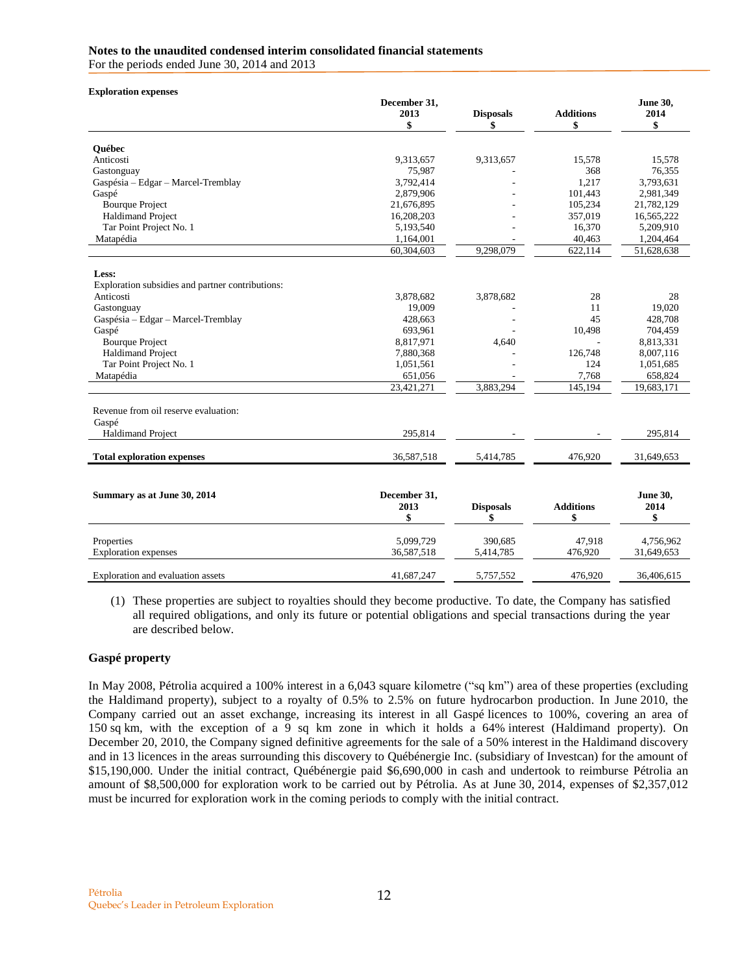#### **Notes to the unaudited condensed interim consolidated financial statements**

For the periods ended June 30, 2014 and 2013

| <b>Exploration expenses</b>                      |                      |                  |                  |                         |
|--------------------------------------------------|----------------------|------------------|------------------|-------------------------|
|                                                  | December 31,<br>2013 | <b>Disposals</b> | <b>Additions</b> | <b>June 30,</b><br>2014 |
|                                                  | \$                   | \$               | \$               | \$                      |
| <b>Ouébec</b>                                    |                      |                  |                  |                         |
| Anticosti                                        | 9,313,657            | 9,313,657        | 15,578           | 15,578                  |
| Gastonguay                                       | 75,987               |                  | 368              | 76,355                  |
| Gaspésia - Edgar - Marcel-Tremblay               | 3,792,414            |                  | 1,217            | 3,793,631               |
| Gaspé                                            | 2,879,906            |                  | 101,443          | 2,981,349               |
| <b>Bourque Project</b>                           | 21,676,895           |                  | 105,234          | 21,782,129              |
| <b>Haldimand Project</b>                         | 16,208,203           |                  | 357,019          | 16,565,222              |
| Tar Point Project No. 1                          | 5,193,540            |                  | 16,370           | 5,209,910               |
| Matapédia                                        | 1,164,001            |                  | 40,463           | 1,204,464               |
|                                                  | 60,304,603           | 9,298,079        | 622,114          | 51,628,638              |
|                                                  |                      |                  |                  |                         |
| Less:                                            |                      |                  |                  |                         |
| Exploration subsidies and partner contributions: |                      |                  |                  |                         |
| Anticosti                                        | 3,878,682            | 3,878,682        | 28               | 28                      |
| Gastonguay                                       | 19,009               |                  | 11               | 19,020                  |
| Gaspésia - Edgar - Marcel-Tremblay               | 428,663              |                  | 45               | 428,708                 |
| Gaspé                                            | 693,961              |                  | 10,498           | 704,459                 |
| <b>Bourque Project</b>                           | 8,817,971            | 4,640            |                  | 8,813,331               |
| <b>Haldimand Project</b>                         | 7,880,368            |                  | 126,748          | 8,007,116               |
| Tar Point Project No. 1                          | 1,051,561            |                  | 124              | 1,051,685               |
| Matapédia                                        | 651,056              |                  | 7,768            | 658,824                 |
|                                                  | 23,421,271           | 3,883,294        | 145,194          | 19,683,171              |
| Revenue from oil reserve evaluation:             |                      |                  |                  |                         |
| Gaspé                                            |                      |                  |                  |                         |
| <b>Haldimand Project</b>                         | 295,814              |                  |                  | 295,814                 |
| <b>Total exploration expenses</b>                | 36,587,518           | 5,414,785        | 476,920          | 31,649,653              |
|                                                  |                      |                  |                  |                         |
| Summary as at June 30, 2014                      | December 31,         |                  |                  | <b>June 30,</b>         |
|                                                  | 2013                 | <b>Disposals</b> | <b>Additions</b> | 2014                    |
|                                                  | \$                   | \$               | \$               | \$                      |
| Properties                                       | 5.099.729            | 390.685          | 47.918           | 4.756.962               |
| <b>Exploration</b> expenses                      | 36,587,518           | 5,414,785        | 476,920          | 31,649,653              |
|                                                  |                      |                  |                  |                         |
| Exploration and evaluation assets                | 41,687,247           | 5,757,552        | 476,920          | 36,406,615              |

(1) These properties are subject to royalties should they become productive. To date, the Company has satisfied all required obligations, and only its future or potential obligations and special transactions during the year are described below.

### **Gaspé property**

In May 2008, Pétrolia acquired a 100% interest in a 6,043 square kilometre ("sq km") area of these properties (excluding the Haldimand property), subject to a royalty of 0.5% to 2.5% on future hydrocarbon production. In June 2010, the Company carried out an asset exchange, increasing its interest in all Gaspé licences to 100%, covering an area of 150 sq km, with the exception of a 9 sq km zone in which it holds a 64% interest (Haldimand property). On December 20, 2010, the Company signed definitive agreements for the sale of a 50% interest in the Haldimand discovery and in 13 licences in the areas surrounding this discovery to Québénergie Inc. (subsidiary of Investcan) for the amount of \$15,190,000. Under the initial contract, Québénergie paid \$6,690,000 in cash and undertook to reimburse Pétrolia an amount of \$8,500,000 for exploration work to be carried out by Pétrolia. As at June 30, 2014, expenses of \$2,357,012 must be incurred for exploration work in the coming periods to comply with the initial contract.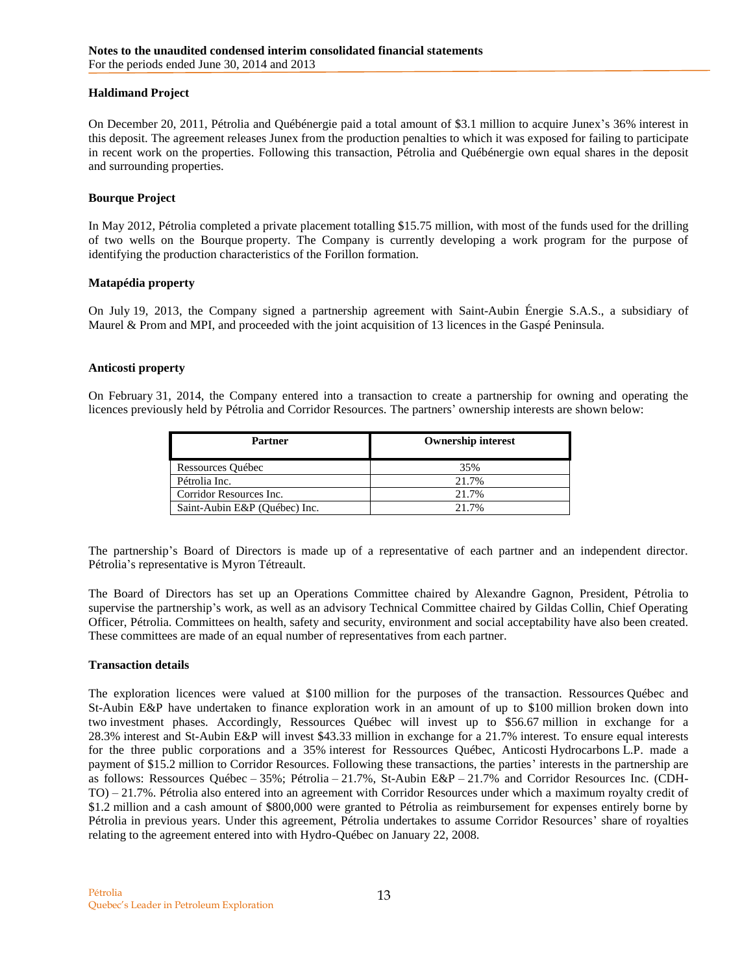### **Haldimand Project**

On December 20, 2011, Pétrolia and Québénergie paid a total amount of \$3.1 million to acquire Junex's 36% interest in this deposit. The agreement releases Junex from the production penalties to which it was exposed for failing to participate in recent work on the properties. Following this transaction, Pétrolia and Québénergie own equal shares in the deposit and surrounding properties.

#### **Bourque Project**

In May 2012, Pétrolia completed a private placement totalling \$15.75 million, with most of the funds used for the drilling of two wells on the Bourque property. The Company is currently developing a work program for the purpose of identifying the production characteristics of the Forillon formation.

#### **Matapédia property**

On July 19, 2013, the Company signed a partnership agreement with Saint-Aubin Énergie S.A.S., a subsidiary of Maurel & Prom and MPI, and proceeded with the joint acquisition of 13 licences in the Gaspé Peninsula.

#### **Anticosti property**

On February 31, 2014, the Company entered into a transaction to create a partnership for owning and operating the licences previously held by Pétrolia and Corridor Resources. The partners' ownership interests are shown below:

| Partner                       | <b>Ownership interest</b> |
|-------------------------------|---------------------------|
| Ressources Québec             | 35%                       |
| Pétrolia Inc.                 | 21.7%                     |
| Corridor Resources Inc.       | 21.7%                     |
| Saint-Aubin E&P (Ouébec) Inc. | 21.7%                     |

The partnership's Board of Directors is made up of a representative of each partner and an independent director. Pétrolia's representative is Myron Tétreault.

The Board of Directors has set up an Operations Committee chaired by Alexandre Gagnon, President, Pétrolia to supervise the partnership's work, as well as an advisory Technical Committee chaired by Gildas Collin, Chief Operating Officer, Pétrolia. Committees on health, safety and security, environment and social acceptability have also been created. These committees are made of an equal number of representatives from each partner.

#### **Transaction details**

The exploration licences were valued at \$100 million for the purposes of the transaction. Ressources Québec and St-Aubin E&P have undertaken to finance exploration work in an amount of up to \$100 million broken down into two investment phases. Accordingly, Ressources Québec will invest up to \$56.67 million in exchange for a 28.3% interest and St-Aubin E&P will invest \$43.33 million in exchange for a 21.7% interest. To ensure equal interests for the three public corporations and a 35% interest for Ressources Québec, Anticosti Hydrocarbons L.P. made a payment of \$15.2 million to Corridor Resources. Following these transactions, the parties' interests in the partnership are as follows: Ressources Québec – 35%; Pétrolia – 21.7%, St-Aubin E&P – 21.7% and Corridor Resources Inc. (CDH-TO) – 21.7%. Pétrolia also entered into an agreement with Corridor Resources under which a maximum royalty credit of \$1.2 million and a cash amount of \$800,000 were granted to Pétrolia as reimbursement for expenses entirely borne by Pétrolia in previous years. Under this agreement, Pétrolia undertakes to assume Corridor Resources' share of royalties relating to the agreement entered into with Hydro-Québec on January 22, 2008.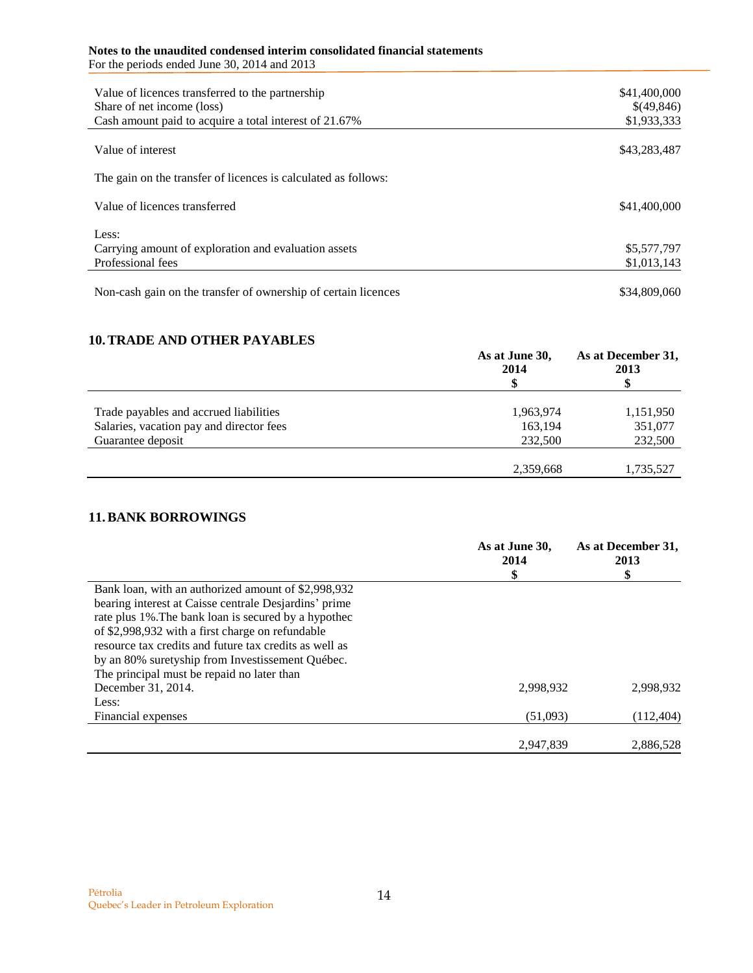#### **Notes to the unaudited condensed interim consolidated financial statements** For the periods ended June 30, 2014 and 2013

| Value of licences transferred to the partnership<br>Share of net income (loss)<br>Cash amount paid to acquire a total interest of 21.67% | \$41,400,000<br>\$(49,846)<br>\$1,933,333 |
|------------------------------------------------------------------------------------------------------------------------------------------|-------------------------------------------|
| Value of interest                                                                                                                        | \$43,283,487                              |
| The gain on the transfer of licences is calculated as follows:                                                                           |                                           |
| Value of licences transferred                                                                                                            | \$41,400,000                              |
| Less:<br>Carrying amount of exploration and evaluation assets                                                                            | \$5,577,797                               |
| Professional fees                                                                                                                        | \$1,013,143                               |
| Non-cash gain on the transfer of ownership of certain licences                                                                           | \$34,809,060                              |

# <span id="page-13-0"></span>**10.TRADE AND OTHER PAYABLES**

|                                          | As at June 30,<br>2014 | As at December 31,<br>2013<br>\$ |
|------------------------------------------|------------------------|----------------------------------|
| Trade payables and accrued liabilities   | 1,963,974              | 1,151,950                        |
| Salaries, vacation pay and director fees | 163,194                | 351,077                          |
| Guarantee deposit                        | 232,500                | 232,500                          |
|                                          |                        |                                  |
|                                          | 2,359,668              | 1,735,527                        |

## <span id="page-13-1"></span>**11.BANK BORROWINGS**

|                                                        | As at June 30,<br>2014 | As at December 31,<br>2013<br>\$ |
|--------------------------------------------------------|------------------------|----------------------------------|
| Bank loan, with an authorized amount of \$2,998,932    |                        |                                  |
| bearing interest at Caisse centrale Desjarding' prime  |                        |                                  |
| rate plus 1%. The bank loan is secured by a hypothec   |                        |                                  |
| of \$2,998,932 with a first charge on refundable       |                        |                                  |
| resource tax credits and future tax credits as well as |                        |                                  |
| by an 80% suretyship from Investissement Québec.       |                        |                                  |
| The principal must be repaid no later than             |                        |                                  |
| December 31, 2014.                                     | 2.998.932              | 2.998.932                        |
| Less:                                                  |                        |                                  |
| Financial expenses                                     | (51,093)               | (112, 404)                       |
|                                                        | 2,947,839              | 2.886.528                        |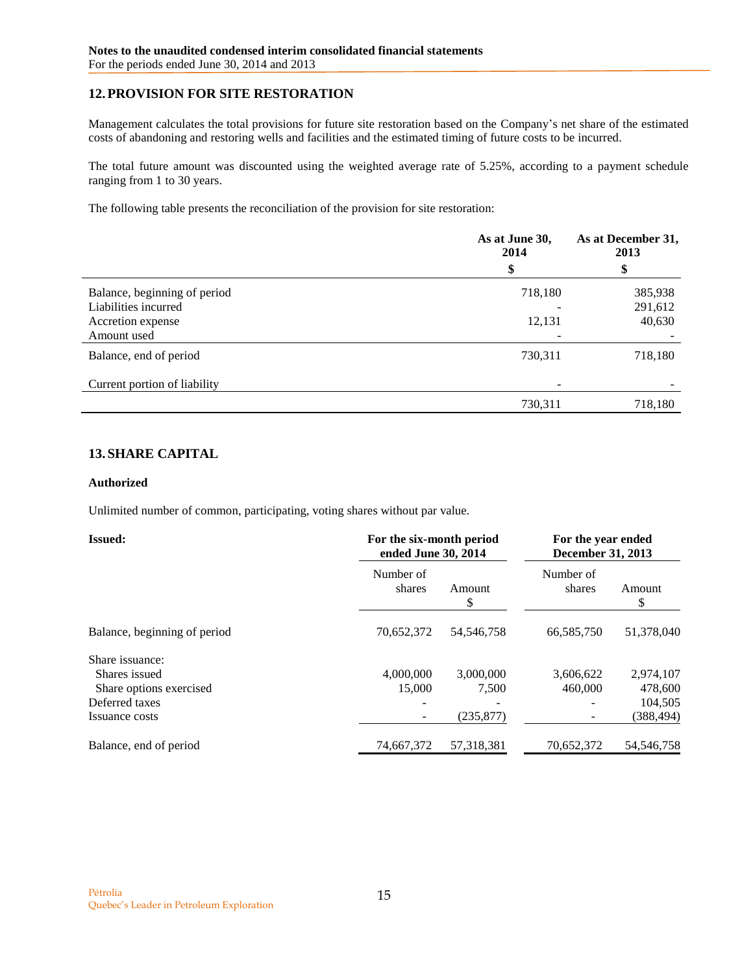# <span id="page-14-0"></span>**12.PROVISION FOR SITE RESTORATION**

Management calculates the total provisions for future site restoration based on the Company's net share of the estimated costs of abandoning and restoring wells and facilities and the estimated timing of future costs to be incurred.

The total future amount was discounted using the weighted average rate of 5.25%, according to a payment schedule ranging from 1 to 30 years.

The following table presents the reconciliation of the provision for site restoration:

|                              | As at June 30,<br>2014 | As at December 31,<br>2013 |  |
|------------------------------|------------------------|----------------------------|--|
|                              | \$                     | \$                         |  |
| Balance, beginning of period | 718,180                | 385,938                    |  |
| Liabilities incurred         |                        | 291,612                    |  |
| Accretion expense            | 12,131                 | 40,630                     |  |
| Amount used                  |                        |                            |  |
| Balance, end of period       | 730,311                | 718,180                    |  |
| Current portion of liability |                        |                            |  |
|                              | 730,311                | 718,180                    |  |

## <span id="page-14-1"></span>**13. SHARE CAPITAL**

### **Authorized**

Unlimited number of common, participating, voting shares without par value.

| <b>Issued:</b>               | For the six-month period<br>ended June 30, 2014 |              | For the year ended<br>December 31, 2013 |              |
|------------------------------|-------------------------------------------------|--------------|-----------------------------------------|--------------|
|                              | Number of<br>shares                             | Amount<br>S  | Number of<br>shares                     | Amount<br>S  |
| Balance, beginning of period | 70,652,372                                      | 54, 546, 758 | 66,585,750                              | 51,378,040   |
| Share issuance:              |                                                 |              |                                         |              |
| Shares issued                | 4,000,000                                       | 3,000,000    | 3,606,622                               | 2,974,107    |
| Share options exercised      | 15,000                                          | 7.500        | 460,000                                 | 478,600      |
| Deferred taxes               |                                                 |              |                                         | 104,505      |
| Issuance costs               | -                                               | (235, 877)   |                                         | (388, 494)   |
| Balance, end of period       | 74,667,372                                      | 57.318.381   | 70,652,372                              | 54, 546, 758 |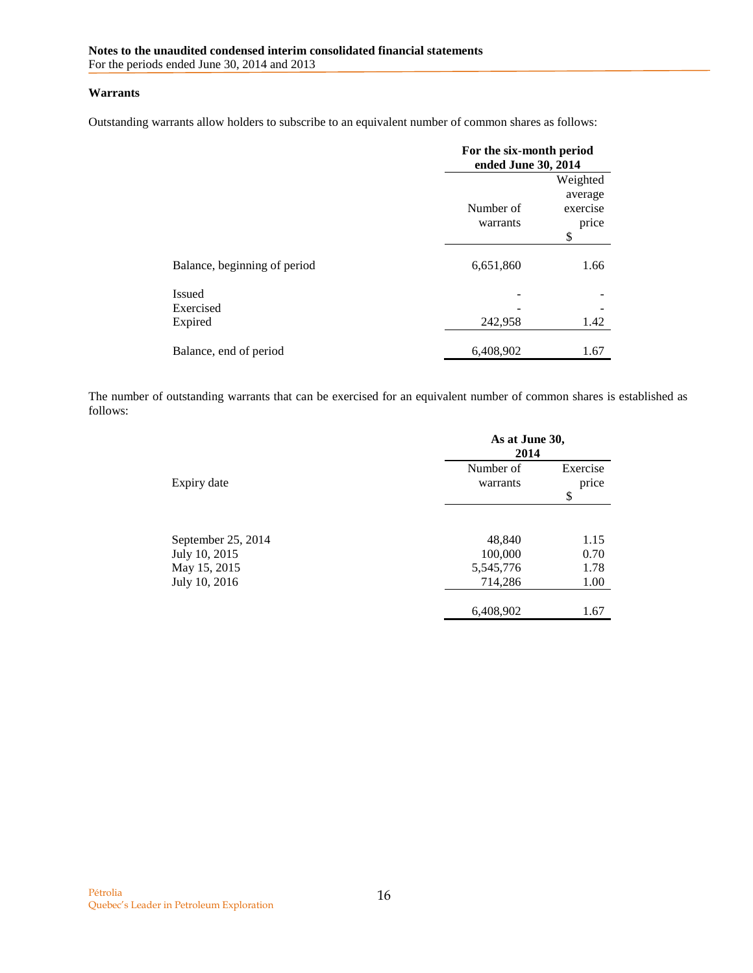### **Warrants**

Outstanding warrants allow holders to subscribe to an equivalent number of common shares as follows:

|                                |                       | For the six-month period<br>ended June 30, 2014 |  |  |
|--------------------------------|-----------------------|-------------------------------------------------|--|--|
|                                | Number of<br>warrants | Weighted<br>average<br>exercise<br>price<br>\$  |  |  |
| Balance, beginning of period   | 6,651,860             | 1.66                                            |  |  |
| Issued<br>Exercised<br>Expired | 242,958               | 1.42                                            |  |  |
| Balance, end of period         | 6,408,902             | 1.67                                            |  |  |

The number of outstanding warrants that can be exercised for an equivalent number of common shares is established as follows:

|                                     | As at June 30,<br>2014 |                         |  |
|-------------------------------------|------------------------|-------------------------|--|
| Expiry date                         | Number of<br>warrants  | Exercise<br>price<br>\$ |  |
| September 25, 2014<br>July 10, 2015 | 48,840<br>100,000      | 1.15<br>0.70            |  |
| May 15, 2015<br>July 10, 2016       | 5,545,776<br>714,286   | 1.78<br>1.00            |  |
|                                     | 6,408,902              | 1.67                    |  |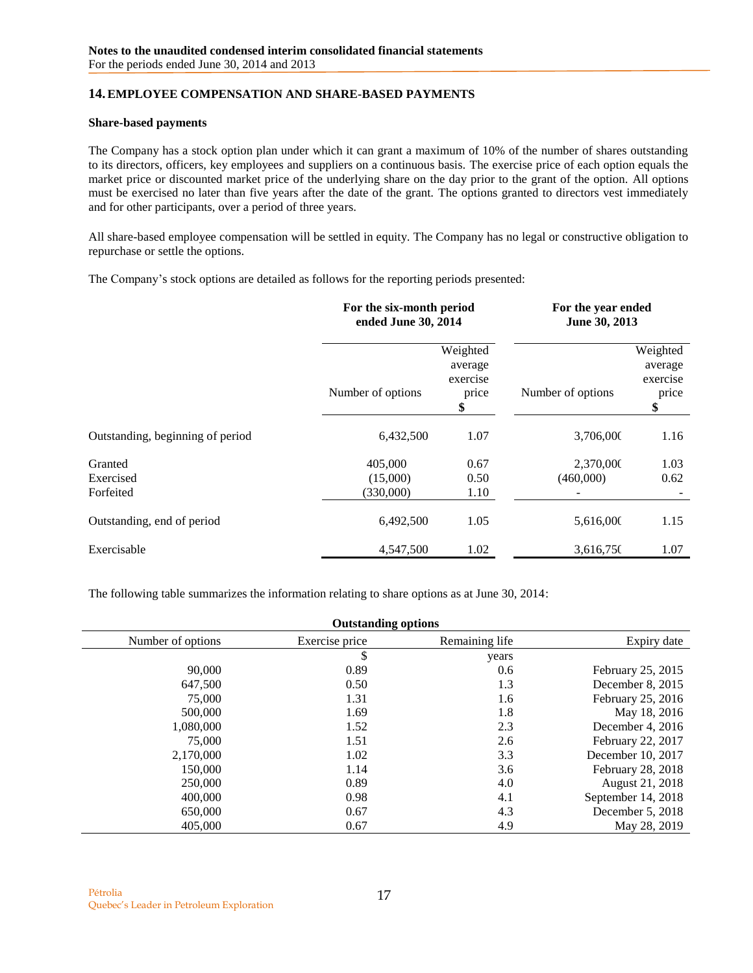## <span id="page-16-0"></span>**14.EMPLOYEE COMPENSATION AND SHARE-BASED PAYMENTS**

#### **Share-based payments**

The Company has a stock option plan under which it can grant a maximum of 10% of the number of shares outstanding to its directors, officers, key employees and suppliers on a continuous basis. The exercise price of each option equals the market price or discounted market price of the underlying share on the day prior to the grant of the option. All options must be exercised no later than five years after the date of the grant. The options granted to directors vest immediately and for other participants, over a period of three years.

All share-based employee compensation will be settled in equity. The Company has no legal or constructive obligation to repurchase or settle the options.

The Company's stock options are detailed as follows for the reporting periods presented:

|                                   | For the six-month period<br>ended June 30, 2014 |                                                | For the year ended<br>June 30, 2013 |                                                |
|-----------------------------------|-------------------------------------------------|------------------------------------------------|-------------------------------------|------------------------------------------------|
|                                   | Number of options                               | Weighted<br>average<br>exercise<br>price<br>\$ | Number of options                   | Weighted<br>average<br>exercise<br>price<br>\$ |
| Outstanding, beginning of period  | 6,432,500                                       | 1.07                                           | 3,706,000                           | 1.16                                           |
| Granted<br>Exercised<br>Forfeited | 405,000<br>(15,000)<br>(330,000)                | 0.67<br>0.50<br>1.10                           | 2,370,000<br>(460,000)              | 1.03<br>0.62                                   |
| Outstanding, end of period        | 6,492,500                                       | 1.05                                           | 5,616,000                           | 1.15                                           |
| Exercisable                       | 4,547,500                                       | 1.02                                           | 3,616,750                           | 1.07                                           |

The following table summarizes the information relating to share options as at June 30, 2014:

<span id="page-16-1"></span>

| <b>Outstanding options</b> |                |                |                    |
|----------------------------|----------------|----------------|--------------------|
| Number of options          | Exercise price | Remaining life | Expiry date        |
|                            | \$             | years          |                    |
| 90,000                     | 0.89           | 0.6            | February 25, 2015  |
| 647,500                    | 0.50           | 1.3            | December $8, 2015$ |
| 75,000                     | 1.31           | 1.6            | February 25, 2016  |
| 500,000                    | 1.69           | 1.8            | May 18, 2016       |
| 1,080,000                  | 1.52           | 2.3            | December 4, $2016$ |
| 75,000                     | 1.51           | 2.6            | February 22, 2017  |
| 2,170,000                  | 1.02           | 3.3            | December 10, 2017  |
| 150,000                    | 1.14           | 3.6            | February 28, 2018  |
| 250,000                    | 0.89           | 4.0            | August 21, 2018    |
| 400,000                    | 0.98           | 4.1            | September 14, 2018 |
| 650,000                    | 0.67           | 4.3            | December 5, 2018   |
| 405,000                    | 0.67           | 4.9            | May 28, 2019       |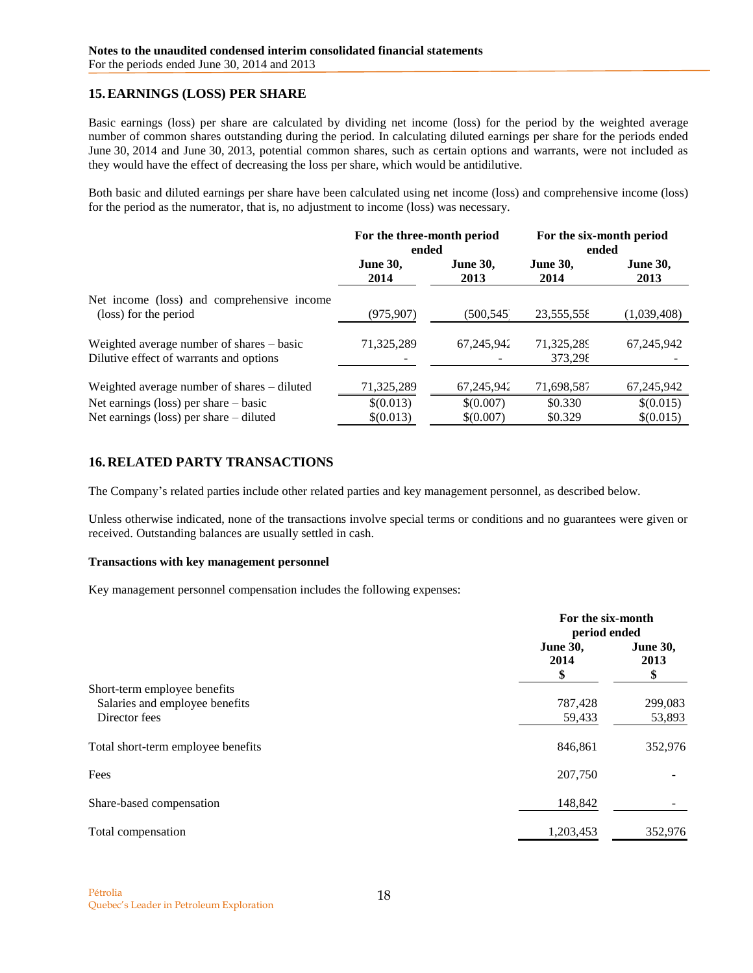## **15.EARNINGS (LOSS) PER SHARE**

Basic earnings (loss) per share are calculated by dividing net income (loss) for the period by the weighted average number of common shares outstanding during the period. In calculating diluted earnings per share for the periods ended June 30, 2014 and June 30, 2013, potential common shares, such as certain options and warrants, were not included as they would have the effect of decreasing the loss per share, which would be antidilutive.

Both basic and diluted earnings per share have been calculated using net income (loss) and comprehensive income (loss) for the period as the numerator, that is, no adjustment to income (loss) was necessary.

|                                                                                      | For the three-month period<br>ended |                         | For the six-month period<br>ended |                         |
|--------------------------------------------------------------------------------------|-------------------------------------|-------------------------|-----------------------------------|-------------------------|
|                                                                                      | <b>June 30,</b><br>2014             | <b>June 30,</b><br>2013 | <b>June 30,</b><br>2014           | <b>June 30,</b><br>2013 |
| Net income (loss) and comprehensive income<br>(loss) for the period                  | (975,907)                           | (500,545)               | 23,555,558                        | (1,039,408)             |
| Weighted average number of shares – basic<br>Dilutive effect of warrants and options | 71,325,289                          | 67,245,942              | 71,325,289<br>373,298             | 67, 245, 942            |
| Weighted average number of shares – diluted                                          | 71,325,289                          | 67,245,942              | 71,698,587                        | 67,245,942              |
| Net earnings (loss) per share $-$ basic                                              | \$(0.013)                           | \$(0.007)               | \$0.330                           | \$(0.015)               |
| Net earnings (loss) per share $-$ diluted                                            | \$(0.013)                           | \$(0.007)               | \$0.329                           | \$(0.015)               |

## <span id="page-17-0"></span>**16.RELATED PARTY TRANSACTIONS**

The Company's related parties include other related parties and key management personnel, as described below.

Unless otherwise indicated, none of the transactions involve special terms or conditions and no guarantees were given or received. Outstanding balances are usually settled in cash.

### **Transactions with key management personnel**

Key management personnel compensation includes the following expenses:

|                                    | For the six-month<br>period ended |                               |
|------------------------------------|-----------------------------------|-------------------------------|
|                                    | <b>June 30,</b><br>2014<br>\$     | <b>June 30,</b><br>2013<br>\$ |
| Short-term employee benefits       |                                   |                               |
| Salaries and employee benefits     | 787,428                           | 299,083                       |
| Director fees                      | 59,433                            | 53,893                        |
| Total short-term employee benefits | 846,861                           | 352,976                       |
| Fees                               | 207,750                           |                               |
| Share-based compensation           | 148,842                           |                               |
| Total compensation                 | 1,203,453                         | 352,976                       |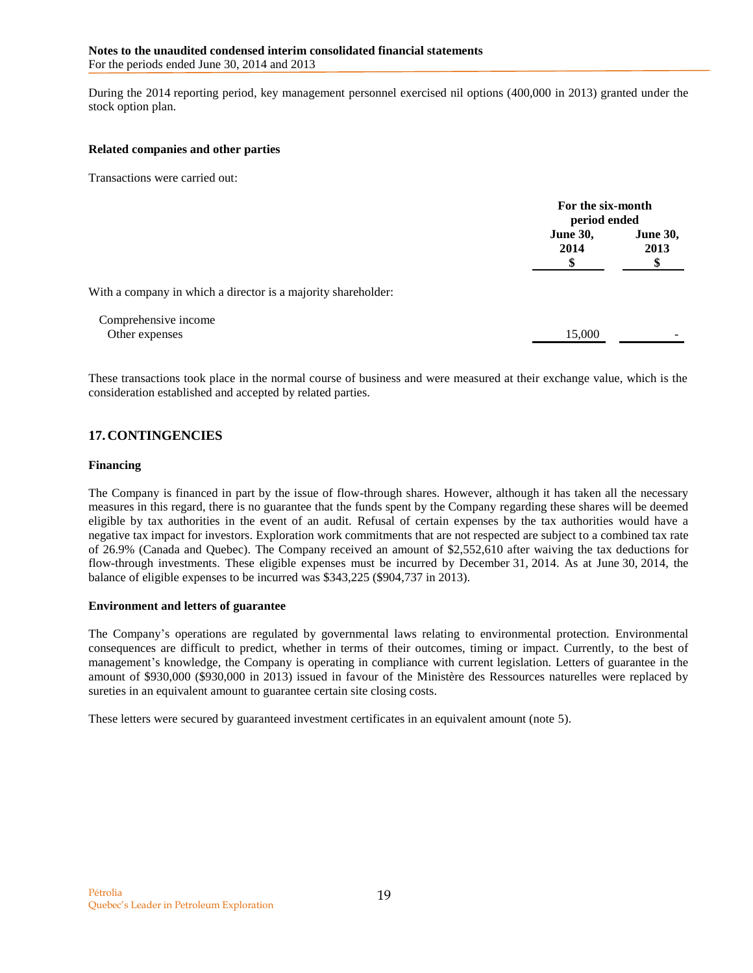During the 2014 reporting period, key management personnel exercised nil options (400,000 in 2013) granted under the stock option plan.

#### **Related companies and other parties**

Transactions were carried out:

|                                                               |                         | For the six-month<br>period ended |  |
|---------------------------------------------------------------|-------------------------|-----------------------------------|--|
|                                                               | <b>June 30,</b><br>2014 | <b>June 30,</b><br>2013           |  |
| With a company in which a director is a majority shareholder: |                         |                                   |  |
| Comprehensive income<br>Other expenses                        | 15,000                  |                                   |  |

These transactions took place in the normal course of business and were measured at their exchange value, which is the consideration established and accepted by related parties.

## <span id="page-18-0"></span>**17.CONTINGENCIES**

#### **Financing**

The Company is financed in part by the issue of flow-through shares. However, although it has taken all the necessary measures in this regard, there is no guarantee that the funds spent by the Company regarding these shares will be deemed eligible by tax authorities in the event of an audit. Refusal of certain expenses by the tax authorities would have a negative tax impact for investors. Exploration work commitments that are not respected are subject to a combined tax rate of 26.9% (Canada and Quebec). The Company received an amount of \$2,552,610 after waiving the tax deductions for flow-through investments. These eligible expenses must be incurred by December 31, 2014. As at June 30, 2014, the balance of eligible expenses to be incurred was \$343,225 (\$904,737 in 2013).

### **Environment and letters of guarantee**

The Company's operations are regulated by governmental laws relating to environmental protection. Environmental consequences are difficult to predict, whether in terms of their outcomes, timing or impact. Currently, to the best of management's knowledge, the Company is operating in compliance with current legislation. Letters of guarantee in the amount of \$930,000 (\$930,000 in 2013) issued in favour of the Ministère des Ressources naturelles were replaced by sureties in an equivalent amount to guarantee certain site closing costs.

These letters were secured by guaranteed investment certificates in an equivalent amount (note 5).